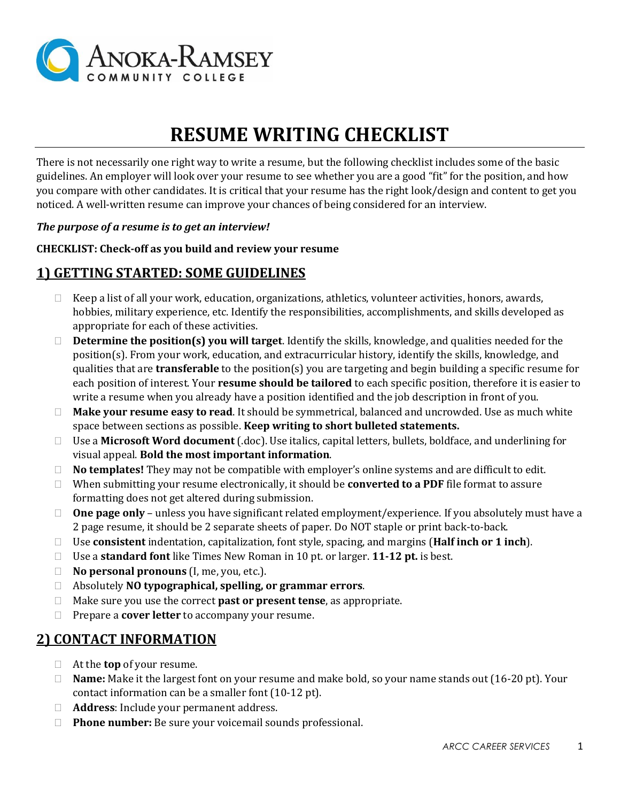

# **RESUME WRITING CHECKLIST**

There is not necessarily one right way to write a resume, but the following checklist includes some of the basic guidelines. An employer will look over your resume to see whether you are a good "fit" for the position, and how you compare with other candidates. It is critical that your resume has the right look/design and content to get you noticed. A well-written resume can improve your chances of being considered for an interview.

#### *The purpose of a resume is to get an interview!*

#### **CHECKLIST: Check-off as you build and review your resume**

## **1) GETTING STARTED: SOME GUIDELINES**

- $\Box$  Keep a list of all your work, education, organizations, athletics, volunteer activities, honors, awards, hobbies, military experience, etc. Identify the responsibilities, accomplishments, and skills developed as appropriate for each of these activities.
- **Determine the position(s) you will target**. Identify the skills, knowledge, and qualities needed for the position(s). From your work, education, and extracurricular history, identify the skills, knowledge, and qualities that are **transferable** to the position(s) you are targeting and begin building a specific resume for each position of interest. Your **resume should be tailored** to each specific position, therefore it is easier to write a resume when you already have a position identified and the job description in front of you.
- **Make your resume easy to read**. It should be symmetrical, balanced and uncrowded. Use as much white space between sections as possible. **Keep writing to short bulleted statements.**
- Use a **Microsoft Word document** (.doc). Use italics, capital letters, bullets, boldface, and underlining for visual appeal. **Bold the most important information**.
- **No templates!** They may not be compatible with employer's online systems and are difficult to edit.
- When submitting your resume electronically, it should be **converted to a PDF** file format to assure formatting does not get altered during submission.
- □ **One page only** unless you have significant related employment/experience. If you absolutely must have a 2 page resume, it should be 2 separate sheets of paper. Do NOT staple or print back-to-back.
- Use **consistent** indentation, capitalization, font style, spacing, and margins (**Half inch or 1 inch**).
- Use a **standard font** like Times New Roman in 10 pt. or larger. **11-12 pt.** is best.
- **No personal pronouns** (I, me, you, etc.).
- Absolutely **NO typographical, spelling, or grammar errors**.
- Make sure you use the correct **past or present tense**, as appropriate.
- □ Prepare a **cover letter** to accompany your resume.

## **2) CONTACT INFORMATION**

- At the **top** of your resume.
- **Name:** Make it the largest font on your resume and make bold, so your name stands out (16-20 pt). Your contact information can be a smaller font (10-12 pt).
- **Address**: Include your permanent address.
- **Phone number:** Be sure your voicemail sounds professional.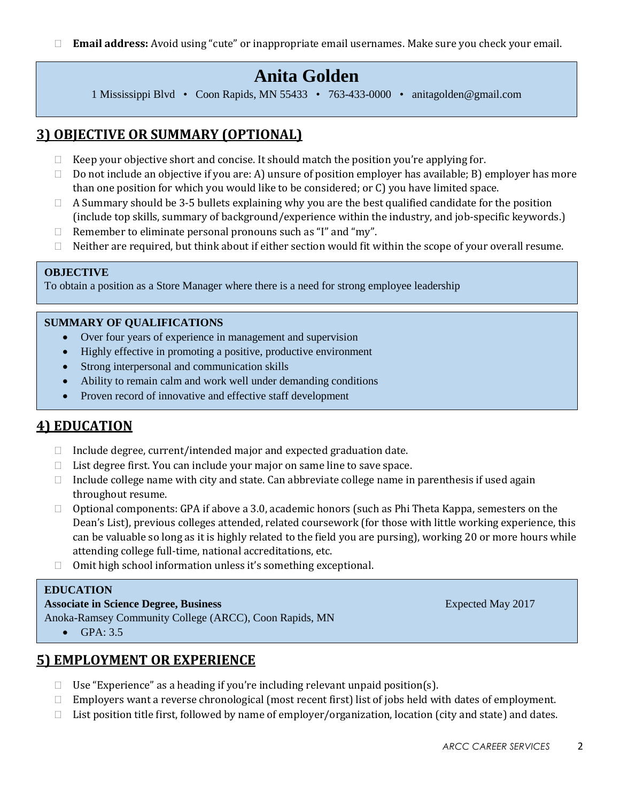**Email address:** Avoid using "cute" or inappropriate email usernames. Make sure you check your email.

## **Anita Golden**

1 Mississippi Blvd • Coon Rapids, MN 55433 • 763-433-0000 • anitagolden@gmail.com

## **3) OBJECTIVE OR SUMMARY (OPTIONAL)**

- $\Box$  Keep your objective short and concise. It should match the position you're applying for.
- $\Box$  Do not include an objective if you are: A) unsure of position employer has available; B) employer has more than one position for which you would like to be considered; or C) you have limited space.
- $\Box$  A Summary should be 3-5 bullets explaining why you are the best qualified candidate for the position (include top skills, summary of background/experience within the industry, and job-specific keywords.)
- $\Box$  Remember to eliminate personal pronouns such as "I" and "my".
- $\Box$  Neither are required, but think about if either section would fit within the scope of your overall resume.

### **OBJECTIVE**

To obtain a position as a Store Manager where there is a need for strong employee leadership

#### **SUMMARY OF QUALIFICATIONS**

- Over four years of experience in management and supervision
- Highly effective in promoting a positive, productive environment
- Strong interpersonal and communication skills
- Ability to remain calm and work well under demanding conditions
- Proven record of innovative and effective staff development

## **4) EDUCATION**

- $\Box$  Include degree, current/intended major and expected graduation date.
- □ List degree first. You can include your major on same line to save space.
- $\Box$  Include college name with city and state. Can abbreviate college name in parenthesis if used again throughout resume.
- $\Box$  Optional components: GPA if above a 3.0, academic honors (such as Phi Theta Kappa, semesters on the Dean's List), previous colleges attended, related coursework (for those with little working experience, this can be valuable so long as it is highly related to the field you are pursing), working 20 or more hours while attending college full-time, national accreditations, etc.
- $\Box$  Omit high school information unless it's something exceptional.

#### **EDUCATION**

**e**

#### **Associate in Science Degree, Business** Expected May 2017

Anoka-Ramsey Community College (ARCC), Coon Rapids, MN

 $\bullet$  GPA: 3.5

## **5) EMPLOYMENT OR EXPERIENCE**

- $\Box$  Use "Experience" as a heading if you're including relevant unpaid position(s).
- $\Box$  Employers want a reverse chronological (most recent first) list of jobs held with dates of employment.
- □ List position title first, followed by name of employer/organization, location (city and state) and dates.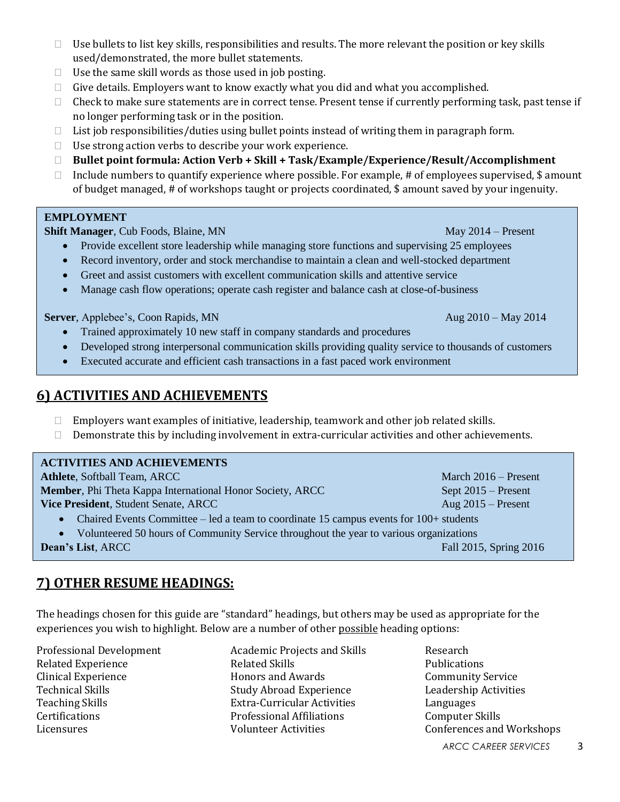- $\Box$  Use bullets to list key skills, responsibilities and results. The more relevant the position or key skills used/demonstrated, the more bullet statements.
- $\Box$  Use the same skill words as those used in job posting.
- $\Box$  Give details. Employers want to know exactly what you did and what you accomplished.
- $\Box$  Check to make sure statements are in correct tense. Present tense if currently performing task, past tense if no longer performing task or in the position.
- $\Box$  List job responsibilities/duties using bullet points instead of writing them in paragraph form.
- $\Box$  Use strong action verbs to describe your work experience.
- **Bullet point formula: Action Verb + Skill + Task/Example/Experience/Result/Accomplishment**
- $\Box$  Include numbers to quantify experience where possible. For example, # of employees supervised, \$ amount of budget managed, # of workshops taught or projects coordinated, \$ amount saved by your ingenuity.

### **EMPLOYMENT**

**Shift Manager**, Cub Foods, Blaine, MN May 2014 – Present

- Provide excellent store leadership while managing store functions and supervising 25 employees
- Record inventory, order and stock merchandise to maintain a clean and well-stocked department
- Greet and assist customers with excellent communication skills and attentive service
- Manage cash flow operations; operate cash register and balance cash at close-of-business

**Server**, Applebee's, Coon Rapids, MN Aug 2010 – May 2014

- Trained approximately 10 new staff in company standards and procedures
- Developed strong interpersonal communication skills providing quality service to thousands of customers
- Executed accurate and efficient cash transactions in a fast paced work environment

## **6) ACTIVITIES AND ACHIEVEMENTS**

- $\Box$  Employers want examples of initiative, leadership, teamwork and other job related skills.
- $\Box$  Demonstrate this by including involvement in extra-curricular activities and other achievements.

| <b>ACTIVITIES AND ACHIEVEMENTS</b>                                                                  |                        |
|-----------------------------------------------------------------------------------------------------|------------------------|
| <b>Athlete, Softball Team, ARCC</b>                                                                 | March $2016 -$ Present |
| Member, Phi Theta Kappa International Honor Society, ARCC                                           | Sept $2015$ – Present  |
| Vice President, Student Senate, ARCC                                                                | Aug $2015$ – Present   |
| • Chaired Events Committee – led a team to coordinate 15 campus events for 100+ students            |                        |
| Volunteered 50 hours of Community Service throughout the year to various organizations<br>$\bullet$ |                        |
| Dean's List, ARCC                                                                                   | Fall 2015, Spring 2016 |

## **7) OTHER RESUME HEADINGS:**

The headings chosen for this guide are "standard" headings, but others may be used as appropriate for the experiences you wish to highlight. Below are a number of other possible heading options:

Professional Development Related Experience Clinical Experience Technical Skills Teaching Skills Certifications Licensures

Academic Projects and Skills Related Skills Honors and Awards Study Abroad Experience Extra-Curricular Activities Professional Affiliations Volunteer Activities

Research Publications Community Service Leadership Activities Languages Computer Skills Conferences and Workshops